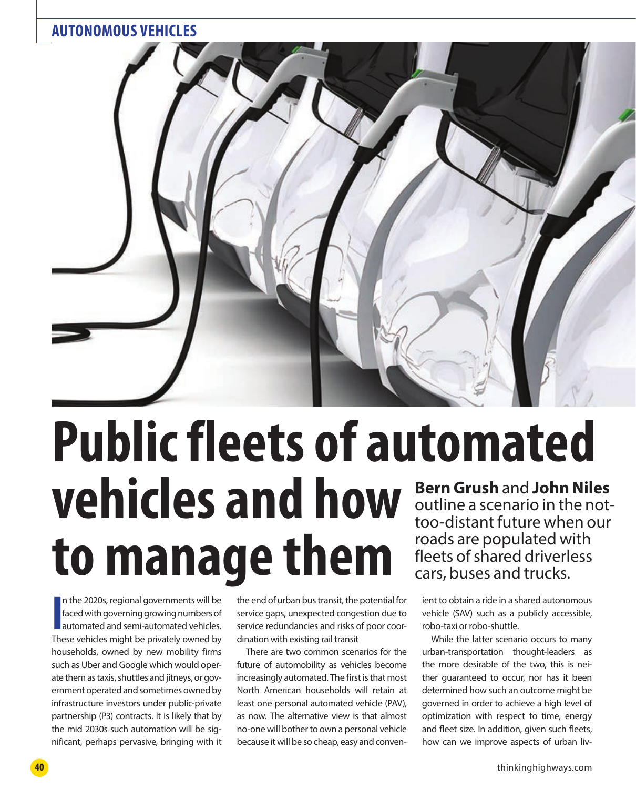

# **Bern Grush** and **John Niles**  roads are populated with fleets of shared driverless cars, buses and trucks. **Public fleets of automated vehicles and how to manage them**

In the 2020s, regional governments will be faced with governing growing numbers of automated and semi-automated vehicles.<br>These vehicles might be privately owned by n the 2020s, regional governments will be faced with governing growing numbers of automated and semi-automated vehicles. households, owned by new mobility firms such as Uber and Google which would operate them as taxis, shuttles and jitneys, or government operated and sometimes owned by infrastructure investors under public-private partnership (P3) contracts. It is likely that by the mid 2030s such automation will be significant, perhaps pervasive, bringing with it

the end of urban bus transit, the potential for service gaps, unexpected congestion due to service redundancies and risks of poor coordination with existing rail transit

There are two common scenarios for the future of automobility as vehicles become increasingly automated. The first is that most North American households will retain at least one personal automated vehicle (PAV), as now. The alternative view is that almost no-one will bother to own a personal vehicle because it will be so cheap, easy and conven-

outline a scenario in the nottoo-distant future when our

ient to obtain a ride in a shared autonomous vehicle (SAV) such as a publicly accessible, robo-taxi or robo-shuttle.

While the latter scenario occurs to many urban-transportation thought-leaders as the more desirable of the two, this is neither guaranteed to occur, nor has it been determined how such an outcome might be governed in order to achieve a high level of optimization with respect to time, energy and fleet size. In addition, given such fleets, how can we improve aspects of urban liv-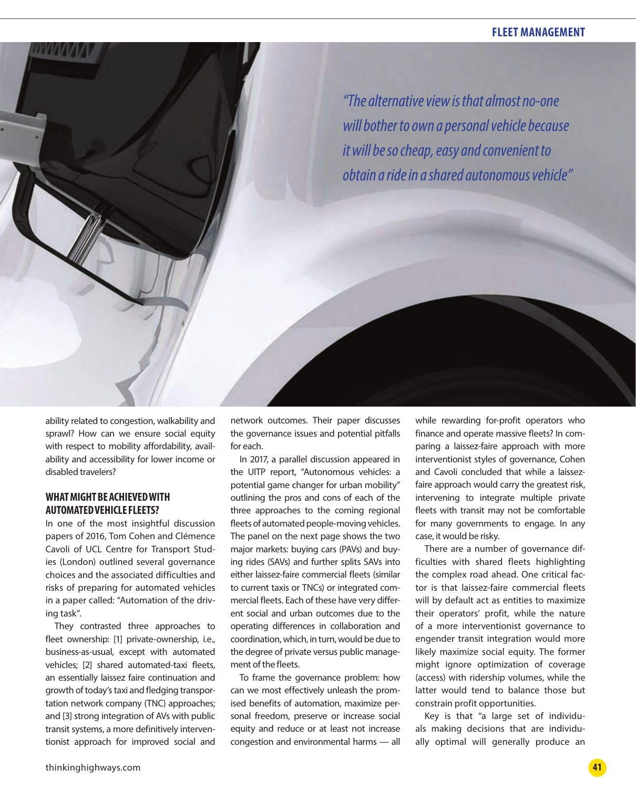## **FLEET MANAGEMENT**

*"The alternative view is that almost no-one will bother to own a personal vehicle because it will be so cheap, easy and convenient to obtain a ride in a shared autonomous vehicle"*

ability related to congestion, walkability and sprawl? How can we ensure social equity with respect to mobility affordability, availability and accessibility for lower income or disabled travelers?

## **WHAT MIGHT BE ACHIEVED WITH AUTOMATED VEHICLE FLEETS?**

In one of the most insightful discussion papers of 2016, Tom Cohen and Clémence Cavoli of UCL Centre for Transport Studies (London) outlined several governance choices and the associated difficulties and risks of preparing for automated vehicles in a paper called: "Automation of the driving task".

They contrasted three approaches to fleet ownership: [1] private-ownership, i.e., business-as-usual, except with automated vehicles; [2] shared automated-taxi fleets, an essentially laissez faire continuation and growth of today's taxi and fledging transportation network company (TNC) approaches; and [3] strong integration of AVs with public transit systems, a more definitively interventionist approach for improved social and

network outcomes. Their paper discusses the governance issues and potential pitfalls for each.

In 2017, a parallel discussion appeared in the UITP report, "Autonomous vehicles: a potential game changer for urban mobility" outlining the pros and cons of each of the three approaches to the coming regional fleets of automated people-moving vehicles. The panel on the next page shows the two major markets: buying cars (PAVs) and buying rides (SAVs) and further splits SAVs into either laissez-faire commercial fleets (similar to current taxis or TNCs) or integrated commercial fleets. Each of these have very different social and urban outcomes due to the operating differences in collaboration and coordination, which, in turn, would be due to the degree of private versus public management of the fleets.

To frame the governance problem: how can we most effectively unleash the promised benefits of automation, maximize personal freedom, preserve or increase social equity and reduce or at least not increase congestion and environmental harms — all

while rewarding for-profit operators who finance and operate massive fleets? In comparing a laissez-faire approach with more interventionist styles of governance, Cohen and Cavoli concluded that while a laissezfaire approach would carry the greatest risk, intervening to integrate multiple private fleets with transit may not be comfortable for many governments to engage. In any case, it would be risky.

There are a number of governance difficulties with shared fleets highlighting the complex road ahead. One critical factor is that laissez-faire commercial fleets will by default act as entities to maximize their operators' profit, while the nature of a more interventionist governance to engender transit integration would more likely maximize social equity. The former might ignore optimization of coverage (access) with ridership volumes, while the latter would tend to balance those but constrain profit opportunities.

Key is that "a large set of individuals making decisions that are individually optimal will generally produce an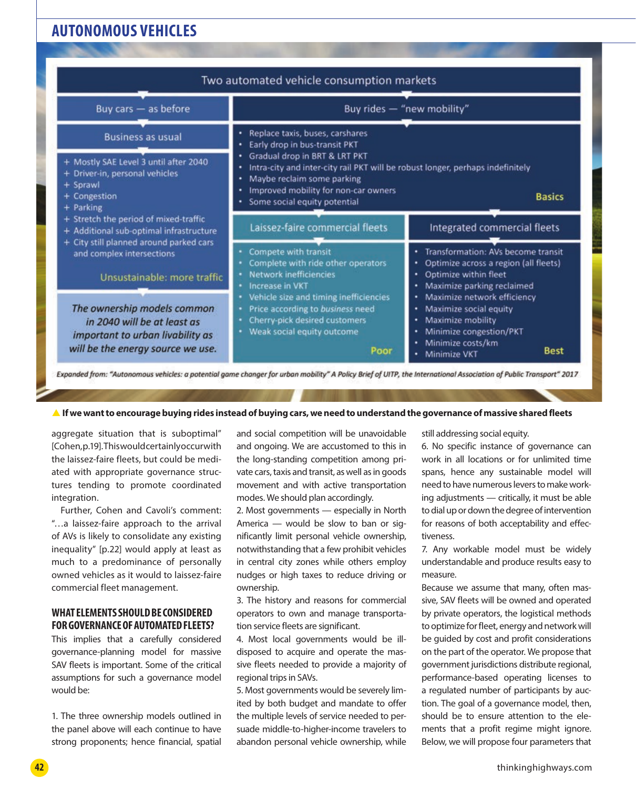# **AUTONOMOUS VEHICLES**

| Buy cars - as before                                                                                                                                                                                                                                                                                                                                                                                                                                                           | Buy rides - "new mobility"<br>· Replace taxis, buses, carshares<br>Early drop in bus-transit PKT<br>٠<br>Gradual drop in BRT & LRT PKT<br>٠<br>Intra-city and inter-city rail PKT will be robust longer, perhaps indefinitely<br>Maybe reclaim some parking<br>٠<br>Improved mobility for non-car owners<br>٠<br><b>Basics</b><br>· Some social equity potential |                                                                                                                                                                                                                  |
|--------------------------------------------------------------------------------------------------------------------------------------------------------------------------------------------------------------------------------------------------------------------------------------------------------------------------------------------------------------------------------------------------------------------------------------------------------------------------------|------------------------------------------------------------------------------------------------------------------------------------------------------------------------------------------------------------------------------------------------------------------------------------------------------------------------------------------------------------------|------------------------------------------------------------------------------------------------------------------------------------------------------------------------------------------------------------------|
| <b>Business as usual</b><br>+ Mostly SAE Level 3 until after 2040<br>+ Driver-in, personal vehicles<br>+ Sprawl<br>+ Congestion<br>+ Parking<br>+ Stretch the period of mixed-traffic<br>+ Additional sub-optimal infrastructure<br>+ City still planned around parked cars<br>and complex intersections<br>Unsustainable: more traffic<br>The ownership models common<br>in 2040 will be at least as<br>important to urban livability as<br>will be the energy source we use. |                                                                                                                                                                                                                                                                                                                                                                  |                                                                                                                                                                                                                  |
|                                                                                                                                                                                                                                                                                                                                                                                                                                                                                | Laissez-faire commercial fleets                                                                                                                                                                                                                                                                                                                                  | Integrated commercial fleets                                                                                                                                                                                     |
|                                                                                                                                                                                                                                                                                                                                                                                                                                                                                | Compete with transit<br>Complete with ride other operators<br>Network inefficiencies<br>Increase in VKT<br>٠<br>Vehicle size and timing inefficiencies<br>Price according to business need                                                                                                                                                                       | · Transformation: AVs become transit<br>• Optimize across a region (all fleets)<br>Optimize within fleet<br>٠<br>Maximize parking reclaimed<br>٠<br>· Maximize network efficiency<br>Maximize social equity<br>٠ |
|                                                                                                                                                                                                                                                                                                                                                                                                                                                                                | Cherry-pick desired customers<br>• Weak social equity outcome<br><b>Poor</b>                                                                                                                                                                                                                                                                                     | Maximize mobility<br>٠<br>· Minimize congestion/PKT<br>Minimize costs/km<br><b>Best</b><br>Minimize VKT                                                                                                          |

#### **A** If we want to encourage buying rides instead of buying cars, we need to understand the governance of massive shared fleets

aggregate situation that is suboptimal" [Cohen, p.19]. This would certainly occur with the laissez-faire fleets, but could be mediated with appropriate governance structures tending to promote coordinated integration.

Further, Cohen and Cavoli's comment: "…a laissez-faire approach to the arrival of AVs is likely to consolidate any existing inequality" [p.22] would apply at least as much to a predominance of personally owned vehicles as it would to laissez-faire commercial fleet management.

#### **WHAT ELEMENTS SHOULD BE CONSIDERED FOR GOVERNANCE OF AUTOMATED FLEETS?**

This implies that a carefully considered governance-planning model for massive SAV fleets is important. Some of the critical assumptions for such a governance model would be:

1. The three ownership models outlined in the panel above will each continue to have strong proponents; hence financial, spatial

and social competition will be unavoidable and ongoing. We are accustomed to this in the long-standing competition among private cars, taxis and transit, as well as in goods movement and with active transportation modes. We should plan accordingly.

2. Most governments — especially in North America — would be slow to ban or significantly limit personal vehicle ownership, notwithstanding that a few prohibit vehicles in central city zones while others employ nudges or high taxes to reduce driving or ownership.

3. The history and reasons for commercial operators to own and manage transportation service fleets are significant.

4. Most local governments would be illdisposed to acquire and operate the massive fleets needed to provide a majority of regional trips in SAVs.

5. Most governments would be severely limited by both budget and mandate to offer the multiple levels of service needed to persuade middle-to-higher-income travelers to abandon personal vehicle ownership, while

still addressing social equity.

6. No specific instance of governance can work in all locations or for unlimited time spans, hence any sustainable model will need to have numerous levers to make working adjustments — critically, it must be able to dial up or down the degree of intervention for reasons of both acceptability and effectiveness.

7. Any workable model must be widely understandable and produce results easy to measure.

Because we assume that many, often massive, SAV fleets will be owned and operated by private operators, the logistical methods to optimize for fleet, energy and network will be guided by cost and profit considerations on the part of the operator. We propose that government jurisdictions distribute regional, performance-based operating licenses to a regulated number of participants by auction. The goal of a governance model, then, should be to ensure attention to the elements that a profit regime might ignore. Below, we will propose four parameters that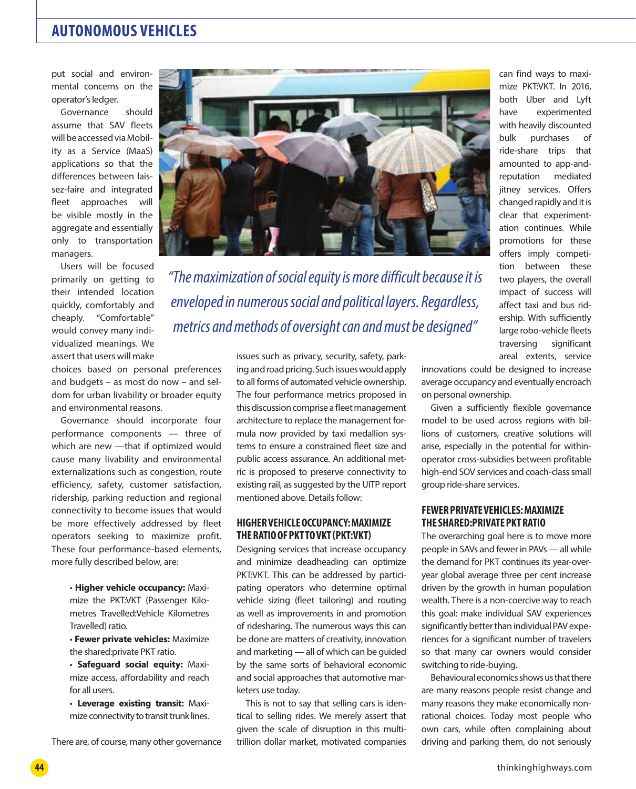# **AUTONOMOUS VEHICLES**

put social and environmental concerns on the operator's ledger.

Governance should assume that SAV fleets will be accessed via Mobility as a Service (MaaS) applications so that the differences between laissez-faire and integrated fleet approaches will be visible mostly in the aggregate and essentially only to transportation managers.

Users will be focused primarily on getting to their intended location quickly, comfortably and cheaply. "Comfortable" would convey many individualized meanings. We assert that users will make

choices based on personal preferences and budgets – as most do now – and seldom for urban livability or broader equity and environmental reasons.

Governance should incorporate four performance components — three of which are new —that if optimized would cause many livability and environmental externalizations such as congestion, route efficiency, safety, customer satisfaction, ridership, parking reduction and regional connectivity to become issues that would be more effectively addressed by fleet operators seeking to maximize profit. These four performance-based elements, more fully described below, are:

> • **Higher vehicle occupancy:** Maximize the PKT:VKT (Passenger Kilometres Travelled:Vehicle Kilometres Travelled) ratio.

> • **Fewer private vehicles:** Maximize the shared:private PKT ratio.

> • **Safeguard social equity:** Maximize access, affordability and reach for all users.

> • **Leverage existing transit:** Maximize connectivity to transit trunk lines.

There are, of course, many other governance



*"The maximization of social equity is more difficult because it is enveloped in numerous social and political layers. Regardless, metrics and methods of oversight can and must be designed"*

> issues such as privacy, security, safety, parking and road pricing. Such issues would apply to all forms of automated vehicle ownership. The four performance metrics proposed in this discussion comprise a fleet management architecture to replace the management formula now provided by taxi medallion systems to ensure a constrained fleet size and public access assurance. An additional metric is proposed to preserve connectivity to existing rail, as suggested by the UITP report mentioned above. Details follow:

#### **HIGHER VEHICLE OCCUPANCY: MAXIMIZE THE RATIO OF PKT TO VKT (PKT:VKT)**

Designing services that increase occupancy and minimize deadheading can optimize PKT:VKT. This can be addressed by participating operators who determine optimal vehicle sizing (fleet tailoring) and routing as well as improvements in and promotion of ridesharing. The numerous ways this can be done are matters of creativity, innovation and marketing — all of which can be guided by the same sorts of behavioral economic and social approaches that automotive marketers use today.

This is not to say that selling cars is identical to selling rides. We merely assert that given the scale of disruption in this multitrillion dollar market, motivated companies

can find ways to maximize PKT:VKT. In 2016, both Uber and Lyft have experimented with heavily discounted bulk purchases of ride-share trips that amounted to app-andreputation mediated jitney services. Offers changed rapidly and it is clear that experimentation continues. While promotions for these offers imply competition between these two players, the overall impact of success will affect taxi and bus ridership. With sufficiently large robo-vehicle fleets traversing significant areal extents, service

innovations could be designed to increase average occupancy and eventually encroach on personal ownership.

Given a sufficiently flexible governance model to be used across regions with billions of customers, creative solutions will arise, especially in the potential for withinoperator cross-subsidies between profitable high-end SOV services and coach-class small group ride-share services.

#### **FEWER PRIVATE VEHICLES: MAXIMIZE THE SHARED:PRIVATE PKT RATIO**

The overarching goal here is to move more people in SAVs and fewer in PAVs — all while the demand for PKT continues its year-overyear global average three per cent increase driven by the growth in human population wealth. There is a non-coercive way to reach this goal: make individual SAV experiences significantly better than individual PAV experiences for a significant number of travelers so that many car owners would consider switching to ride-buying.

Behavioural economics shows us that there are many reasons people resist change and many reasons they make economically nonrational choices. Today most people who own cars, while often complaining about driving and parking them, do not seriously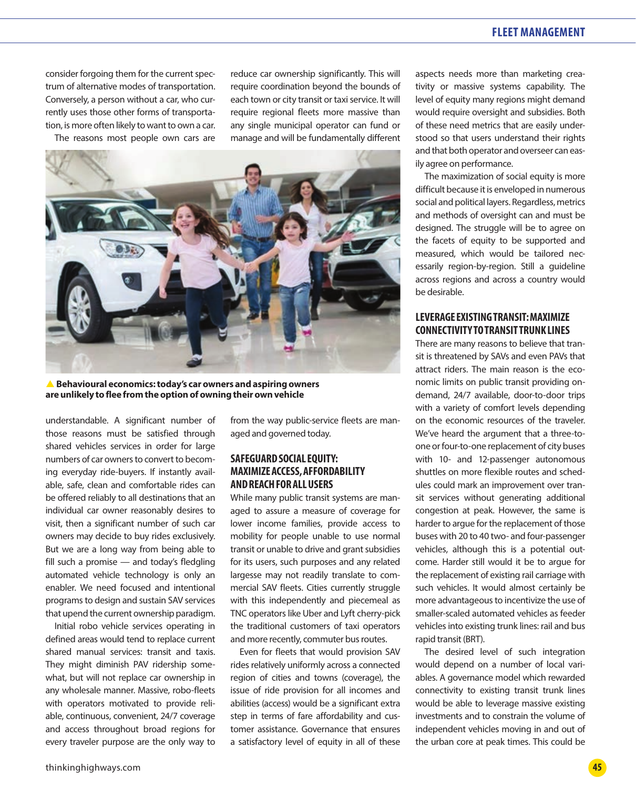## **FLEET MANAGEMENT**

consider forgoing them for the current spectrum of alternative modes of transportation. Conversely, a person without a car, who currently uses those other forms of transportation, is more often likely to want to own a car.

The reasons most people own cars are

reduce car ownership significantly. This will require coordination beyond the bounds of each town or city transit or taxi service. It will require regional fleets more massive than any single municipal operator can fund or manage and will be fundamentally different



S **Behavioural economics: today's car owners and aspiring owners are unlikely to flee from the option of owning their own vehicle**

understandable. A significant number of those reasons must be satisfied through shared vehicles services in order for large numbers of car owners to convert to becoming everyday ride-buyers. If instantly available, safe, clean and comfortable rides can be offered reliably to all destinations that an individual car owner reasonably desires to visit, then a significant number of such car owners may decide to buy rides exclusively. But we are a long way from being able to fill such a promise — and today's fledgling automated vehicle technology is only an enabler. We need focused and intentional programs to design and sustain SAV services that upend the current ownership paradigm.

Initial robo vehicle services operating in defined areas would tend to replace current shared manual services: transit and taxis. They might diminish PAV ridership somewhat, but will not replace car ownership in any wholesale manner. Massive, robo-fleets with operators motivated to provide reliable, continuous, convenient, 24/7 coverage and access throughout broad regions for every traveler purpose are the only way to from the way public-service fleets are managed and governed today.

## **SAFEGUARD SOCIAL EQUITY: MAXIMIZE ACCESS, AFFORDABILITY AND REACH FOR ALL USERS**

While many public transit systems are managed to assure a measure of coverage for lower income families, provide access to mobility for people unable to use normal transit or unable to drive and grant subsidies for its users, such purposes and any related largesse may not readily translate to commercial SAV fleets. Cities currently struggle with this independently and piecemeal as TNC operators like Uber and Lyft cherry-pick the traditional customers of taxi operators and more recently, commuter bus routes.

Even for fleets that would provision SAV rides relatively uniformly across a connected region of cities and towns (coverage), the issue of ride provision for all incomes and abilities (access) would be a significant extra step in terms of fare affordability and customer assistance. Governance that ensures a satisfactory level of equity in all of these

aspects needs more than marketing creativity or massive systems capability. The level of equity many regions might demand would require oversight and subsidies. Both of these need metrics that are easily understood so that users understand their rights and that both operator and overseer can easily agree on performance.

The maximization of social equity is more difficult because it is enveloped in numerous social and political layers. Regardless, metrics and methods of oversight can and must be designed. The struggle will be to agree on the facets of equity to be supported and measured, which would be tailored necessarily region-by-region. Still a guideline across regions and across a country would be desirable.

## **LEVERAGE EXISTING TRANSIT: MAXIMIZE CONNECTIVITY TO TRANSIT TRUNK LINES**

There are many reasons to believe that transit is threatened by SAVs and even PAVs that attract riders. The main reason is the economic limits on public transit providing ondemand, 24/7 available, door-to-door trips with a variety of comfort levels depending on the economic resources of the traveler. We've heard the argument that a three-toone or four-to-one replacement of city buses with 10- and 12-passenger autonomous shuttles on more flexible routes and schedules could mark an improvement over transit services without generating additional congestion at peak. However, the same is harder to argue for the replacement of those buses with 20 to 40 two- and four-passenger vehicles, although this is a potential outcome. Harder still would it be to argue for the replacement of existing rail carriage with such vehicles. It would almost certainly be more advantageous to incentivize the use of smaller-scaled automated vehicles as feeder vehicles into existing trunk lines: rail and bus rapid transit (BRT).

The desired level of such integration would depend on a number of local variables. A governance model which rewarded connectivity to existing transit trunk lines would be able to leverage massive existing investments and to constrain the volume of independent vehicles moving in and out of the urban core at peak times. This could be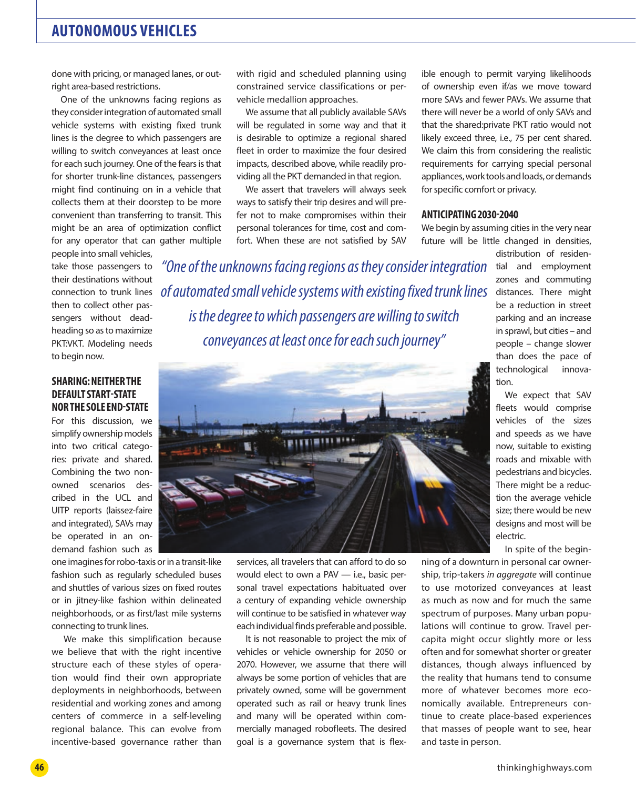# **AUTONOMOUS VEHICLES**

done with pricing, or managed lanes, or outright area-based restrictions.

One of the unknowns facing regions as they consider integration of automated small vehicle systems with existing fixed trunk lines is the degree to which passengers are willing to switch conveyances at least once for each such journey. One of the fears is that for shorter trunk-line distances, passengers might find continuing on in a vehicle that collects them at their doorstep to be more convenient than transferring to transit. This might be an area of optimization conflict for any operator that can gather multiple

people into small vehicles, take those passengers to their destinations without connection to trunk lines then to collect other passengers without deadheading so as to maximize PKT:VKT. Modeling needs to begin now.

#### **SHARING: NEITHER THE DEFAULT START-STATE NOR THE SOLE END-STATE**

For this discussion, we simplify ownership models into two critical categories: private and shared. Combining the two nonowned scenarios described in the UCL and UITP reports (laissez-faire and integrated), SAVs may be operated in an ondemand fashion such as

one imagines for robo-taxis or in a transit-like fashion such as regularly scheduled buses and shuttles of various sizes on fixed routes or in jitney-like fashion within delineated neighborhoods, or as first/last mile systems connecting to trunk lines.

We make this simplification because we believe that with the right incentive structure each of these styles of operation would find their own appropriate deployments in neighborhoods, between residential and working zones and among centers of commerce in a self-leveling regional balance. This can evolve from incentive-based governance rather than

with rigid and scheduled planning using constrained service classifications or pervehicle medallion approaches.

We assume that all publicly available SAVs will be regulated in some way and that it is desirable to optimize a regional shared fleet in order to maximize the four desired impacts, described above, while readily providing all the PKT demanded in that region.

We assert that travelers will always seek ways to satisfy their trip desires and will prefer not to make compromises within their personal tolerances for time, cost and comfort. When these are not satisfied by SAV

ible enough to permit varying likelihoods of ownership even if/as we move toward more SAVs and fewer PAVs. We assume that there will never be a world of only SAVs and that the shared:private PKT ratio would not likely exceed three, i.e., 75 per cent shared. We claim this from considering the realistic requirements for carrying special personal appliances, work tools and loads, or demands for specific comfort or privacy.

#### **ANTICIPATING 2030-2040**

We begin by assuming cities in the very near future will be little changed in densities, distribution of residen-

*"One of the unknowns facing regions as they consider integration of automated small vehicle systems with existing fixed trunk lines is the degree to which passengers are willing to switch conveyances at least once for each such journey"*



services, all travelers that can afford to do so would elect to own a PAV — i.e., basic personal travel expectations habituated over a century of expanding vehicle ownership will continue to be satisfied in whatever way each individual finds preferable and possible.

It is not reasonable to project the mix of vehicles or vehicle ownership for 2050 or 2070. However, we assume that there will always be some portion of vehicles that are privately owned, some will be government operated such as rail or heavy trunk lines and many will be operated within commercially managed robofleets. The desired goal is a governance system that is flextial and employment zones and commuting distances. There might be a reduction in street parking and an increase in sprawl, but cities – and people – change slower than does the pace of technological innovation.

We expect that SAV fleets would comprise vehicles of the sizes and speeds as we have now, suitable to existing roads and mixable with pedestrians and bicycles. There might be a reduction the average vehicle size; there would be new designs and most will be electric.

In spite of the begin-

ning of a downturn in personal car ownership, trip-takers *in aggregate* will continue to use motorized conveyances at least as much as now and for much the same spectrum of purposes. Many urban populations will continue to grow. Travel percapita might occur slightly more or less often and for somewhat shorter or greater distances, though always influenced by the reality that humans tend to consume more of whatever becomes more economically available. Entrepreneurs continue to create place-based experiences that masses of people want to see, hear and taste in person.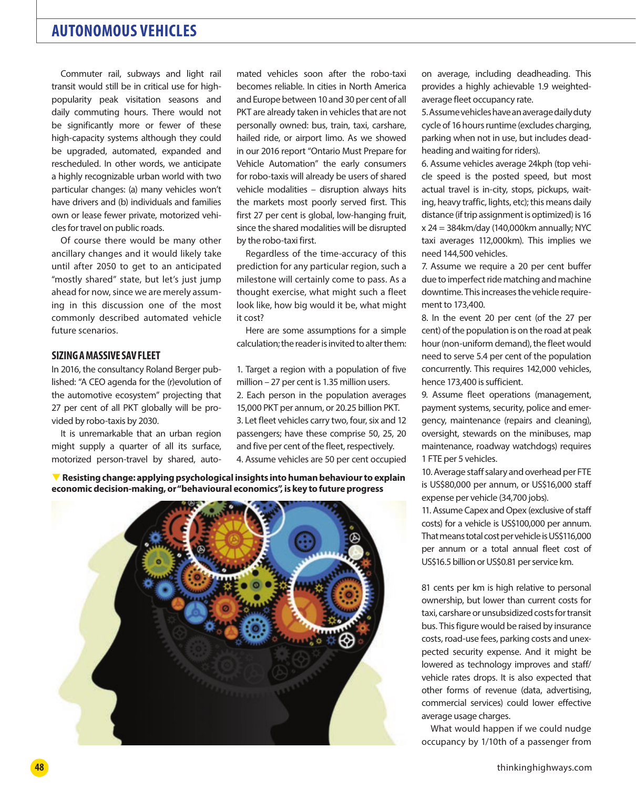Commuter rail, subways and light rail transit would still be in critical use for highpopularity peak visitation seasons and daily commuting hours. There would not be significantly more or fewer of these high-capacity systems although they could be upgraded, automated, expanded and rescheduled. In other words, we anticipate a highly recognizable urban world with two particular changes: (a) many vehicles won't have drivers and (b) individuals and families own or lease fewer private, motorized vehicles for travel on public roads.

Of course there would be many other ancillary changes and it would likely take until after 2050 to get to an anticipated "mostly shared" state, but let's just jump ahead for now, since we are merely assuming in this discussion one of the most commonly described automated vehicle future scenarios.

#### **SIZING A MASSIVE SAV FLEET**

In 2016, the consultancy Roland Berger published: "A CEO agenda for the (r)evolution of the automotive ecosystem" projecting that 27 per cent of all PKT globally will be provided by robo-taxis by 2030.

It is unremarkable that an urban region might supply a quarter of all its surface, motorized person-travel by shared, auto-

mated vehicles soon after the robo-taxi becomes reliable. In cities in North America and Europe between 10 and 30 per cent of all PKT are already taken in vehicles that are not personally owned: bus, train, taxi, carshare, hailed ride, or airport limo. As we showed in our 2016 report "Ontario Must Prepare for Vehicle Automation" the early consumers for robo-taxis will already be users of shared vehicle modalities – disruption always hits the markets most poorly served first. This first 27 per cent is global, low-hanging fruit, since the shared modalities will be disrupted by the robo-taxi first.

Regardless of the time-accuracy of this prediction for any particular region, such a milestone will certainly come to pass. As a thought exercise, what might such a fleet look like, how big would it be, what might it cost?

Here are some assumptions for a simple calculation; the reader is invited to alter them:

1. Target a region with a population of five million – 27 per cent is 1.35 million users.

2. Each person in the population averages 15,000 PKT per annum, or 20.25 billion PKT. 3. Let fleet vehicles carry two, four, six and 12 passengers; have these comprise 50, 25, 20 and five per cent of the fleet, respectively. 4. Assume vehicles are 50 per cent occupied

T **Resisting change: applying psychological insights into human behaviour to explain economic decision-making, or "behavioural economics", is key to future progress**



on average, including deadheading. This provides a highly achievable 1.9 weightedaverage fleet occupancy rate.

5. Assume vehicles have an average daily duty cycle of 16 hours runtime (excludes charging, parking when not in use, but includes deadheading and waiting for riders).

6. Assume vehicles average 24kph (top vehicle speed is the posted speed, but most actual travel is in-city, stops, pickups, waiting, heavy traffic, lights, etc); this means daily distance (if trip assignment is optimized) is 16 x 24 = 384km/day (140,000km annually; NYC taxi averages 112,000km). This implies we need 144,500 vehicles.

7. Assume we require a 20 per cent buffer due to imperfect ride matching and machine downtime. This increases the vehicle requirement to 173,400.

8. In the event 20 per cent (of the 27 per cent) of the population is on the road at peak hour (non-uniform demand), the fleet would need to serve 5.4 per cent of the population concurrently. This requires 142,000 vehicles, hence 173,400 is sufficient.

9. Assume fleet operations (management, payment systems, security, police and emergency, maintenance (repairs and cleaning), oversight, stewards on the minibuses, map maintenance, roadway watchdogs) requires 1 FTE per 5 vehicles.

10. Average staff salary and overhead per FTE is US\$80,000 per annum, or US\$16,000 staff expense per vehicle (34,700 jobs).

11. Assume Capex and Opex (exclusive of staff costs) for a vehicle is US\$100,000 per annum. That means total cost per vehicle is US\$116,000 per annum or a total annual fleet cost of US\$16.5 billion or US\$0.81 per service km.

81 cents per km is high relative to personal ownership, but lower than current costs for taxi, carshare or unsubsidized costs for transit bus. This figure would be raised by insurance costs, road-use fees, parking costs and unexpected security expense. And it might be lowered as technology improves and staff/ vehicle rates drops. It is also expected that other forms of revenue (data, advertising, commercial services) could lower effective average usage charges.

What would happen if we could nudge occupancy by 1/10th of a passenger from